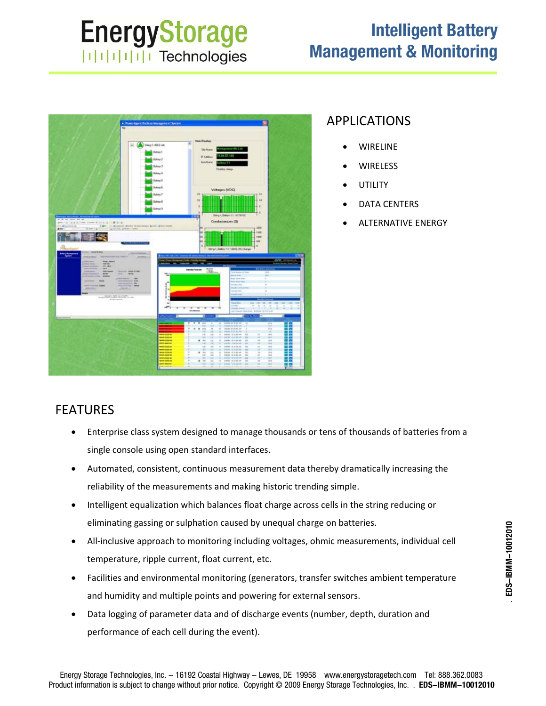# **EnergyStorage ITITITITI** Technologies

## **Intelligent Battery Management & Monitoring**



#### APPLICATIONS

- WIRELINE
- **WIRELESS**
- **UTILITY**
- DATA CENTERS
- ALTERNATIVE ENERGY

### FEATURES

- Enterprise class system designed to manage thousands or tens of thousands of batteries from a single console using open standard interfaces.
- Automated, consistent, continuous measurement data thereby dramatically increasing the reliability of the measurements and making historic trending simple.
- Intelligent equalization which balances float charge across cells in the string reducing or eliminating gassing or sulphation caused by unequal charge on batteries.
- All‐inclusive approach to monitoring including voltages, ohmic measurements, individual cell temperature, ripple current, float current, etc.
- Facilities and environmental monitoring (generators, transfer switches ambient temperature and humidity and multiple points and powering for external sensors.
- Data logging of parameter data and of discharge events (number, depth, duration and performance of each cell during the event).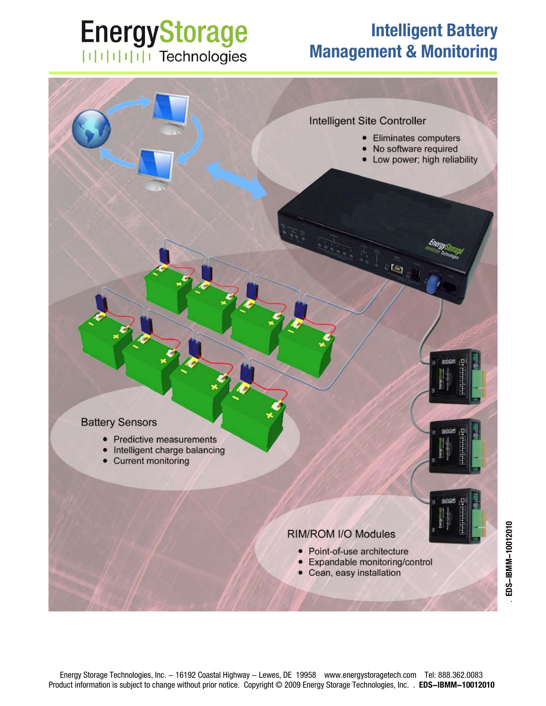# **EnergyStorage** | | | | | | | | | | Technologies

## **Intelligent Battery Management & Monitoring**

**Eliminates computers** 

No software required Low power; high reliability

to

Intelligent Site Controller

 $\bullet$ 



- Predictive measurements
- Intelligent charge balancing
- **Current monitoring**

#### RIM/ROM I/O Modules

- Point-of-use architecture
- Expandable monitoring/control
- Cean, easy installation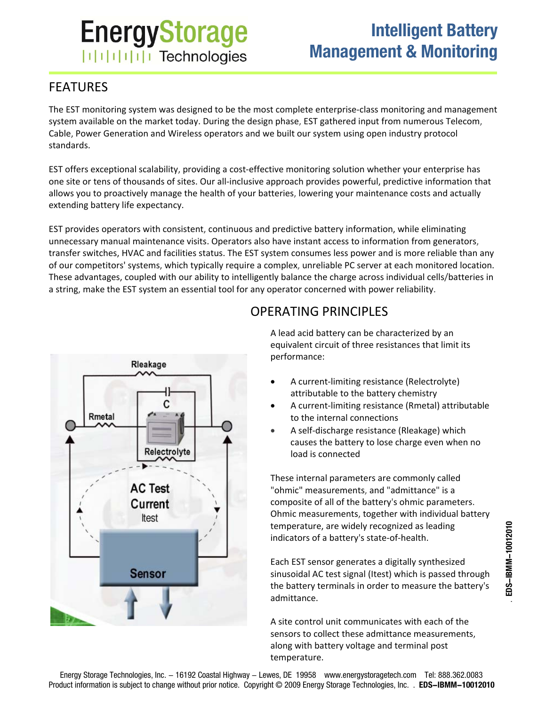# **EnergyStorage ITITITITI Technologies**

## **Intelligent Battery Management & Monitoring**

### FEATURES

The EST monitoring system was designed to be the most complete enterprise‐class monitoring and management system available on the market today. During the design phase, EST gathered input from numerous Telecom, Cable, Power Generation and Wireless operators and we built our system using open industry protocol standards.

EST offers exceptional scalability, providing a cost‐effective monitoring solution whether your enterprise has one site or tens of thousands of sites. Our all‐inclusive approach provides powerful, predictive information that allows you to proactively manage the health of your batteries, lowering your maintenance costs and actually extending battery life expectancy.

EST provides operators with consistent, continuous and predictive battery information, while eliminating unnecessary manual maintenance visits. Operators also have instant access to information from generators, transfer switches, HVAC and facilities status. The EST system consumes less power and is more reliable than any of our competitors' systems, which typically require a complex, unreliable PC server at each monitored location. These advantages, coupled with our ability to intelligently balance the charge across individual cells/batteries in a string, make the EST system an essential tool for any operator concerned with power reliability.



### OPERATING PRINCIPLES

A lead acid battery can be characterized by an equivalent circuit of three resistances that limit its performance:

- A current‐limiting resistance (Relectrolyte) attributable to the battery chemistry
- A current‐limiting resistance (Rmetal) attributable to the internal connections
- A self‐discharge resistance (Rleakage) which causes the battery to lose charge even when no load is connected

These internal parameters are commonly called "ohmic" measurements, and "admittance" is a composite of all of the battery's ohmic parameters. Ohmic measurements, together with individual battery temperature, are widely recognized as leading indicators of a battery's state‐of‐health.

Each EST sensor generates a digitally synthesized sinusoidal AC test signal (Itest) which is passed through the battery terminals in order to measure the battery's admittance.

A site control unit communicates with each of the sensors to collect these admittance measurements, along with battery voltage and terminal post temperature.